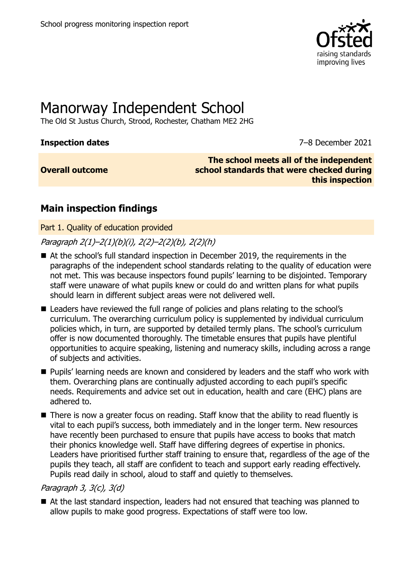

# Manorway Independent School

The Old St Justus Church, Strood, Rochester, Chatham ME2 2HG

**Inspection dates** 7–8 December 2021

**Overall outcome**

**The school meets all of the independent school standards that were checked during this inspection**

# **Main inspection findings**

Part 1. Quality of education provided

Paragraph 2(1)–2(1)(b)(i), 2(2)–2(2)(b), 2(2)(h)

- At the school's full standard inspection in December 2019, the requirements in the paragraphs of the independent school standards relating to the quality of education were not met. This was because inspectors found pupils' learning to be disjointed. Temporary staff were unaware of what pupils knew or could do and written plans for what pupils should learn in different subject areas were not delivered well.
- Leaders have reviewed the full range of policies and plans relating to the school's curriculum. The overarching curriculum policy is supplemented by individual curriculum policies which, in turn, are supported by detailed termly plans. The school's curriculum offer is now documented thoroughly. The timetable ensures that pupils have plentiful opportunities to acquire speaking, listening and numeracy skills, including across a range of subjects and activities.
- **Pupils'** learning needs are known and considered by leaders and the staff who work with them. Overarching plans are continually adjusted according to each pupil's specific needs. Requirements and advice set out in education, health and care (EHC) plans are adhered to.
- There is now a greater focus on reading. Staff know that the ability to read fluently is vital to each pupil's success, both immediately and in the longer term. New resources have recently been purchased to ensure that pupils have access to books that match their phonics knowledge well. Staff have differing degrees of expertise in phonics. Leaders have prioritised further staff training to ensure that, regardless of the age of the pupils they teach, all staff are confident to teach and support early reading effectively. Pupils read daily in school, aloud to staff and quietly to themselves.

#### Paragraph 3, 3(c), 3(d)

■ At the last standard inspection, leaders had not ensured that teaching was planned to allow pupils to make good progress. Expectations of staff were too low.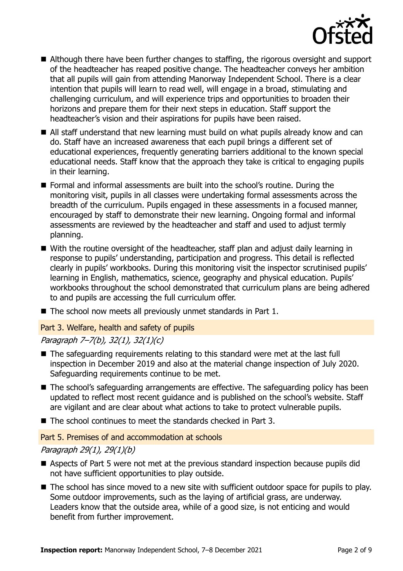

- Although there have been further changes to staffing, the rigorous oversight and support of the headteacher has reaped positive change. The headteacher conveys her ambition that all pupils will gain from attending Manorway Independent School. There is a clear intention that pupils will learn to read well, will engage in a broad, stimulating and challenging curriculum, and will experience trips and opportunities to broaden their horizons and prepare them for their next steps in education. Staff support the headteacher's vision and their aspirations for pupils have been raised.
- All staff understand that new learning must build on what pupils already know and can do. Staff have an increased awareness that each pupil brings a different set of educational experiences, frequently generating barriers additional to the known special educational needs. Staff know that the approach they take is critical to engaging pupils in their learning.
- Formal and informal assessments are built into the school's routine. During the monitoring visit, pupils in all classes were undertaking formal assessments across the breadth of the curriculum. Pupils engaged in these assessments in a focused manner, encouraged by staff to demonstrate their new learning. Ongoing formal and informal assessments are reviewed by the headteacher and staff and used to adjust termly planning.
- With the routine oversight of the headteacher, staff plan and adjust daily learning in response to pupils' understanding, participation and progress. This detail is reflected clearly in pupils' workbooks. During this monitoring visit the inspector scrutinised pupils' learning in English, mathematics, science, geography and physical education. Pupils' workbooks throughout the school demonstrated that curriculum plans are being adhered to and pupils are accessing the full curriculum offer.
- The school now meets all previously unmet standards in Part 1.

#### Part 3. Welfare, health and safety of pupils

#### Paragraph 7–7(b), 32(1), 32(1)(c)

- The safeguarding requirements relating to this standard were met at the last full inspection in December 2019 and also at the material change inspection of July 2020. Safeguarding requirements continue to be met.
- The school's safeguarding arrangements are effective. The safeguarding policy has been updated to reflect most recent guidance and is published on the school's website. Staff are vigilant and are clear about what actions to take to protect vulnerable pupils.
- $\blacksquare$  The school continues to meet the standards checked in Part 3.

#### Part 5. Premises of and accommodation at schools

#### Paragraph 29(1), 29(1)(b)

- Aspects of Part 5 were not met at the previous standard inspection because pupils did not have sufficient opportunities to play outside.
- The school has since moved to a new site with sufficient outdoor space for pupils to play. Some outdoor improvements, such as the laying of artificial grass, are underway. Leaders know that the outside area, while of a good size, is not enticing and would benefit from further improvement.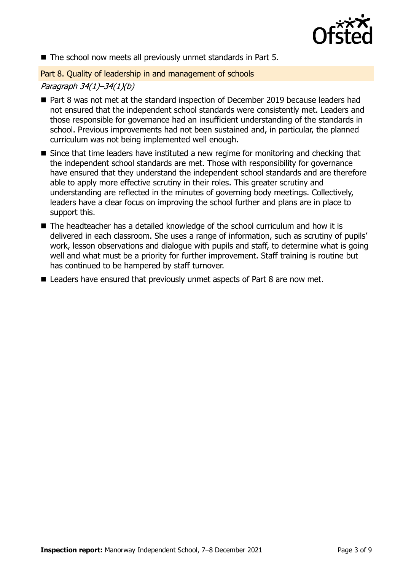

The school now meets all previously unmet standards in Part 5.

Part 8. Quality of leadership in and management of schools

#### Paragraph 34(1)–34(1)(b)

- Part 8 was not met at the standard inspection of December 2019 because leaders had not ensured that the independent school standards were consistently met. Leaders and those responsible for governance had an insufficient understanding of the standards in school. Previous improvements had not been sustained and, in particular, the planned curriculum was not being implemented well enough.
- Since that time leaders have instituted a new regime for monitoring and checking that the independent school standards are met. Those with responsibility for governance have ensured that they understand the independent school standards and are therefore able to apply more effective scrutiny in their roles. This greater scrutiny and understanding are reflected in the minutes of governing body meetings. Collectively, leaders have a clear focus on improving the school further and plans are in place to support this.
- The headteacher has a detailed knowledge of the school curriculum and how it is delivered in each classroom. She uses a range of information, such as scrutiny of pupils' work, lesson observations and dialogue with pupils and staff, to determine what is going well and what must be a priority for further improvement. Staff training is routine but has continued to be hampered by staff turnover.
- Leaders have ensured that previously unmet aspects of Part 8 are now met.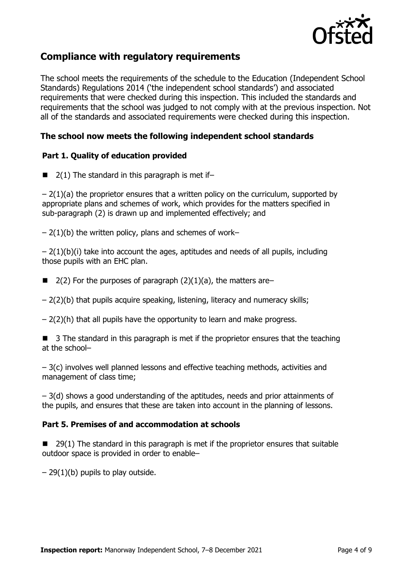

## **Compliance with regulatory requirements**

The school meets the requirements of the schedule to the Education (Independent School Standards) Regulations 2014 ('the independent school standards') and associated requirements that were checked during this inspection. This included the standards and requirements that the school was judged to not comply with at the previous inspection. Not all of the standards and associated requirements were checked during this inspection.

### **The school now meets the following independent school standards**

#### **Part 1. Quality of education provided**

 $\blacksquare$  2(1) The standard in this paragraph is met if-

 $-2(1)(a)$  the proprietor ensures that a written policy on the curriculum, supported by appropriate plans and schemes of work, which provides for the matters specified in sub-paragraph (2) is drawn up and implemented effectively; and

 $-2(1)(b)$  the written policy, plans and schemes of work–

 $-2(1)(b)(i)$  take into account the ages, aptitudes and needs of all pupils, including those pupils with an EHC plan.

- 2(2) For the purposes of paragraph  $(2)(1)(a)$ , the matters are–
- 2(2)(b) that pupils acquire speaking, listening, literacy and numeracy skills;
- $-2(2)$ (h) that all pupils have the opportunity to learn and make progress.

 3 The standard in this paragraph is met if the proprietor ensures that the teaching at the school–

– 3(c) involves well planned lessons and effective teaching methods, activities and management of class time;

– 3(d) shows a good understanding of the aptitudes, needs and prior attainments of the pupils, and ensures that these are taken into account in the planning of lessons.

#### **Part 5. Premises of and accommodation at schools**

 $\blacksquare$  29(1) The standard in this paragraph is met if the proprietor ensures that suitable outdoor space is provided in order to enable–

 $-29(1)(b)$  pupils to play outside.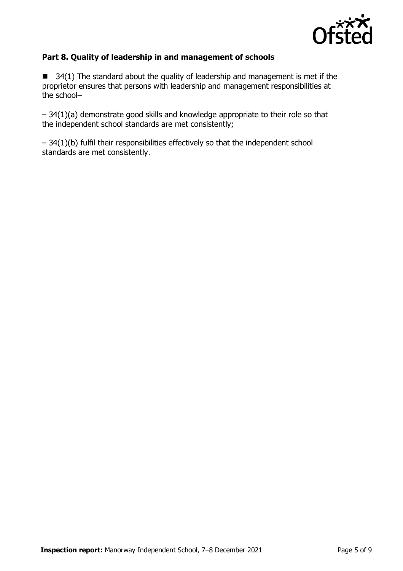

#### **Part 8. Quality of leadership in and management of schools**

 $\blacksquare$  34(1) The standard about the quality of leadership and management is met if the proprietor ensures that persons with leadership and management responsibilities at the school–

– 34(1)(a) demonstrate good skills and knowledge appropriate to their role so that the independent school standards are met consistently;

 $-34(1)(b)$  fulfil their responsibilities effectively so that the independent school standards are met consistently.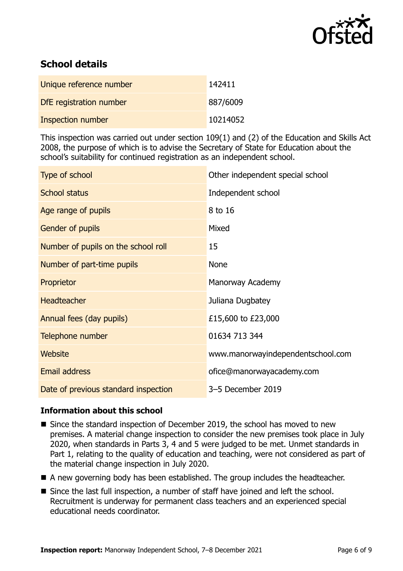

# **School details**

| Unique reference number  | 142411   |
|--------------------------|----------|
| DfE registration number  | 887/6009 |
| <b>Inspection number</b> | 10214052 |

This inspection was carried out under section 109(1) and (2) of the Education and Skills Act 2008, the purpose of which is to advise the Secretary of State for Education about the school's suitability for continued registration as an independent school.

| Type of school                       | Other independent special school  |
|--------------------------------------|-----------------------------------|
| <b>School status</b>                 | Independent school                |
| Age range of pupils                  | 8 to 16                           |
| Gender of pupils                     | Mixed                             |
| Number of pupils on the school roll  | 15                                |
| Number of part-time pupils           | <b>None</b>                       |
| Proprietor                           | Manorway Academy                  |
| <b>Headteacher</b>                   | Juliana Dugbatey                  |
| Annual fees (day pupils)             | £15,600 to £23,000                |
| Telephone number                     | 01634 713 344                     |
| <b>Website</b>                       | www.manorwayindependentschool.com |
| <b>Email address</b>                 | ofice@manorwayacademy.com         |
| Date of previous standard inspection | 3-5 December 2019                 |

#### **Information about this school**

- Since the standard inspection of December 2019, the school has moved to new premises. A material change inspection to consider the new premises took place in July 2020, when standards in Parts 3, 4 and 5 were judged to be met. Unmet standards in Part 1, relating to the quality of education and teaching, were not considered as part of the material change inspection in July 2020.
- A new governing body has been established. The group includes the headteacher.
- Since the last full inspection, a number of staff have joined and left the school. Recruitment is underway for permanent class teachers and an experienced special educational needs coordinator.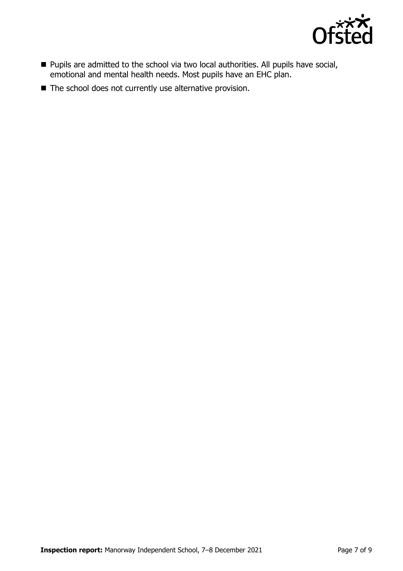

- Pupils are admitted to the school via two local authorities. All pupils have social, emotional and mental health needs. Most pupils have an EHC plan.
- The school does not currently use alternative provision.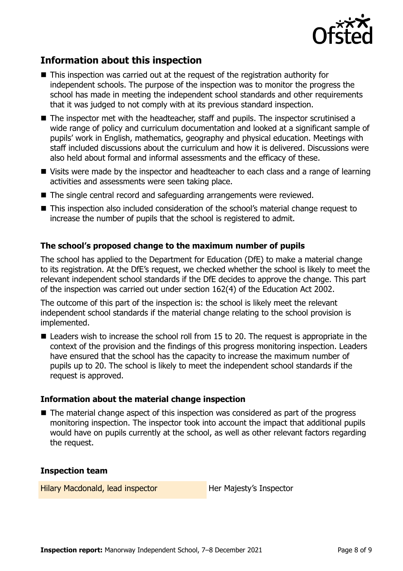

# **Information about this inspection**

- This inspection was carried out at the request of the registration authority for independent schools. The purpose of the inspection was to monitor the progress the school has made in meeting the independent school standards and other requirements that it was judged to not comply with at its previous standard inspection.
- The inspector met with the headteacher, staff and pupils. The inspector scrutinised a wide range of policy and curriculum documentation and looked at a significant sample of pupils' work in English, mathematics, geography and physical education. Meetings with staff included discussions about the curriculum and how it is delivered. Discussions were also held about formal and informal assessments and the efficacy of these.
- Visits were made by the inspector and headteacher to each class and a range of learning activities and assessments were seen taking place.
- The single central record and safeguarding arrangements were reviewed.
- This inspection also included consideration of the school's material change request to increase the number of pupils that the school is registered to admit.

#### **The school's proposed change to the maximum number of pupils**

The school has applied to the Department for Education (DfE) to make a material change to its registration. At the DfE's request, we checked whether the school is likely to meet the relevant independent school standards if the DfE decides to approve the change. This part of the inspection was carried out under section 162(4) of the Education Act 2002.

The outcome of this part of the inspection is: the school is likely meet the relevant independent school standards if the material change relating to the school provision is implemented.

■ Leaders wish to increase the school roll from 15 to 20. The request is appropriate in the context of the provision and the findings of this progress monitoring inspection. Leaders have ensured that the school has the capacity to increase the maximum number of pupils up to 20. The school is likely to meet the independent school standards if the request is approved.

#### **Information about the material change inspection**

■ The material change aspect of this inspection was considered as part of the progress monitoring inspection. The inspector took into account the impact that additional pupils would have on pupils currently at the school, as well as other relevant factors regarding the request.

#### **Inspection team**

Hilary Macdonald, lead inspector **Her Majesty's Inspector**